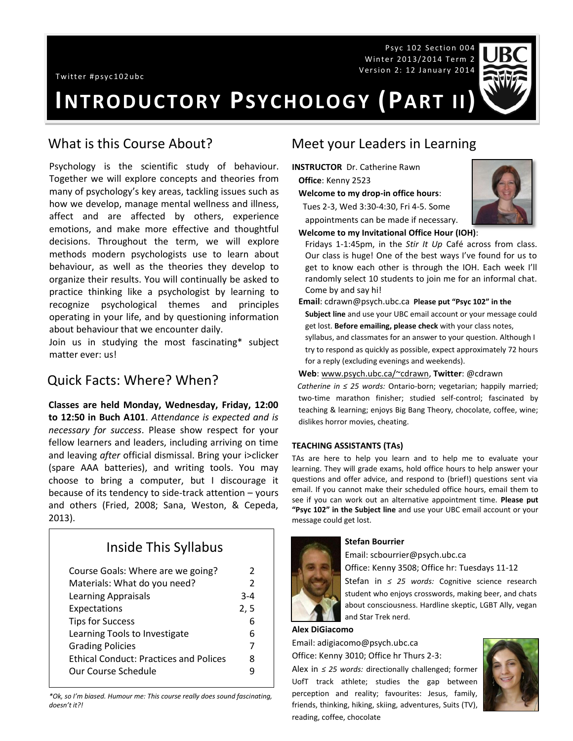Twitter #psyc102ubc

Psyc 102 Section 004 Winter 2013/2014 Term 2 Version 2: 12 January 2014



# **INTRODUCTORY PSYCHOLOGY (PART II)**

## What is this Course About?

Psychology is the scientific study of behaviour. Together we will explore concepts and theories from many of psychology's key areas, tackling issues such as how we develop, manage mental wellness and illness, affect and are affected by others, experience emotions, and make more effective and thoughtful decisions. Throughout the term, we will explore methods modern psychologists use to learn about behaviour, as well as the theories they develop to organize their results. You will continually be asked to practice thinking like a psychologist by learning to recognize psychological themes and principles operating in your life, and by questioning information about behaviour that we encounter daily.

Join us in studying the most fascinating\* subject matter ever: us!

## Quick Facts: Where? When?

**Classes are held Monday, Wednesday, Friday, 12:00 to 12:50 in Buch A101**. *Attendance is expected and is necessary for success*. Please show respect for your fellow learners and leaders, including arriving on time and leaving *after* official dismissal. Bring your i>clicker (spare AAA batteries), and writing tools. You may choose to bring a computer, but I discourage it because of its tendency to side-track attention – yours and others (Fried, 2008; Sana, Weston, & Cepeda, 2013).

## Inside This Syllabus

| Course Goals: Where are we going?             | $\mathcal{P}$ |
|-----------------------------------------------|---------------|
| Materials: What do you need?                  | $\mathcal{P}$ |
| <b>Learning Appraisals</b>                    | $3 - 4$       |
| Expectations                                  | 2, 5          |
| <b>Tips for Success</b>                       | 6             |
| Learning Tools to Investigate                 | 6             |
| <b>Grading Policies</b>                       | 7             |
| <b>Ethical Conduct: Practices and Polices</b> | 8             |
| Our Course Schedule                           |               |

*\*Ok, so I'm biased. Humour me: This course really does sound fascinating, doesn't it?!*

## Meet your Leaders in Learning

- **INSTRUCTOR** Dr. Catherine Rawn **Office**: Kenny 2523
	- **Welcome to my drop-in office hours**:

 Tues 2-3, Wed 3:30-4:30, Fri 4-5. Some appointments can be made if necessary.



## **Welcome to my Invitational Office Hour (IOH)**:

Fridays 1-1:45pm, in the *Stir It Up* Café across from class. Our class is huge! One of the best ways I've found for us to get to know each other is through the IOH. Each week I'll randomly select 10 students to join me for an informal chat. Come by and say hi!

**Email**: cdrawn@psych.ubc.ca **Please put "Psyc 102" in the** 

- **Subject line** and use your UBC email account or your message could get lost. **Before emailing, please check** with your class notes,
- syllabus, and classmates for an answer to your question. Although I try to respond as quickly as possible, expect approximately 72 hours for a reply (excluding evenings and weekends).

#### **Web**[: www.psych.ubc.ca/~cdrawn,](http://www.psych.ubc.ca/~cdrawn) **Twitter**: @cdrawn

*Catherine in ≤ 25 words:* Ontario-born; vegetarian; happily married; two-time marathon finisher; studied self-control; fascinated by teaching & learning; enjoys Big Bang Theory, chocolate, coffee, wine; dislikes horror movies, cheating.

#### **TEACHING ASSISTANTS (TAs)**

TAs are here to help you learn and to help me to evaluate your learning. They will grade exams, hold office hours to help answer your questions and offer advice, and respond to (brief!) questions sent via email. If you cannot make their scheduled office hours, email them to see if you can work out an alternative appointment time. **Please put "Psyc 102" in the Subject line** and use your UBC email account or your message could get lost.

#### **Stefan Bourrier**

Email: scbourrier@psych.ubc.ca

Office: Kenny 3508; Office hr: Tuesdays 11-12

Stefan in *≤ 25 words:* Cognitive science research student who enjoys crosswords, making beer, and chats about consciousness. Hardline skeptic, LGBT Ally, vegan and Star Trek nerd.

#### **Alex DiGiacomo**

Email: adigiacomo@psych.ubc.ca

Office: Kenny 3010; Office hr Thurs 2-3:

Alex in *≤ 25 words:* directionally challenged; former UofT track athlete; studies the gap between perception and reality; favourites: Jesus, family, friends, thinking, hiking, skiing, adventures, Suits (TV), reading, coffee, chocolate

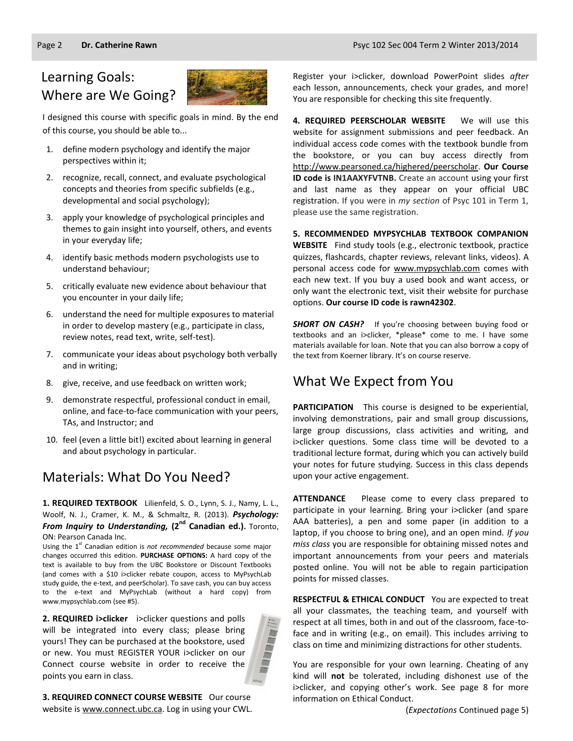## Learning Goals: Where are We Going?



I designed this course with specific goals in mind. By the end of this course, you should be able to...

- 1. define modern psychology and identify the major perspectives within it;
- 2. recognize, recall, connect, and evaluate psychological concepts and theories from specific subfields (e.g., developmental and social psychology);
- 3. apply your knowledge of psychological principles and themes to gain insight into yourself, others, and events in your everyday life;
- 4. identify basic methods modern psychologists use to understand behaviour;
- 5. critically evaluate new evidence about behaviour that you encounter in your daily life;
- 6. understand the need for multiple exposures to material in order to develop mastery (e.g., participate in class, review notes, read text, write, self-test).
- 7. communicate your ideas about psychology both verbally and in writing;
- 8. give, receive, and use feedback on written work;
- 9. demonstrate respectful, professional conduct in email, online, and face-to-face communication with your peers, TAs, and Instructor; and
- 10. feel (even a little bit!) excited about learning in general and about psychology in particular.

## Materials: What Do You Need?

**1. REQUIRED TEXTBOOK** Lilienfeld, S. O., Lynn, S. J., Namy, L. L., Woolf, N. J., Cramer, K. M., & Schmaltz, R. (2013). *Psychology:*  **From Inquiry to Understanding, (2<sup>nd</sup> Canadian ed.).** Toronto, ON: Pearson Canada Inc.

Using the 1<sup>st</sup> Canadian edition is *not recommended* because some major changes occurred this edition. **PURCHASE OPTIONS:** A hard copy of the text is available to buy from the UBC Bookstore or Discount Textbooks (and comes with a \$10 i>clicker rebate coupon, access to MyPsychLab study guide, the e-text, and peerScholar). To save cash, you can buy access to the e-text and MyPsychLab (without a hard copy) from www.mypsychlab.com (see #5).

**2. REQUIRED i>clicker** i>clicker questions and polls will be integrated into every class; please bring yours! They can be purchased at the bookstore, used or new. You must REGISTER YOUR i>clicker on our Connect course website in order to receive the points you earn in class.

.



**3. REQUIRED CONNECT COURSE WEBSITE** Our course website is [www.connect.ubc.ca.](http://elearning.ubc.ca/connect/) Log in using your CWL. Register your i>clicker, download PowerPoint slides *after*  each lesson, announcements, check your grades, and more! You are responsible for checking this site frequently.

**4. REQUIRED PEERSCHOLAR WEBSITE** We will use this website for assignment submissions and peer feedback. An individual access code comes with the textbook bundle from the bookstore, or you can buy access directly from [http://www.pearsoned.ca/highered/peerscholar.](http://www.pearsoned.ca/highered/peerscholar) **Our Course ID code is IN1AAXYFVTNB.** Create an account using your first and last name as they appear on your official UBC registration. If you were in *my section* of Psyc 101 in Term 1, please use the same registration.

**5. RECOMMENDED MYPSYCHLAB TEXTBOOK COMPANION WEBSITE** Find study tools (e.g., electronic textbook, practice quizzes, flashcards, chapter reviews, relevant links, videos). A personal access code for [www.mypsychlab.com](http://www.mypsychlab.com/) comes with each new text. If you buy a used book and want access, or only want the electronic text, visit their website for purchase options. **Our course ID code is rawn42302**.

**SHORT ON CASH?** If you're choosing between buying food or textbooks and an i>clicker, \*please\* come to me. I have some materials available for loan. Note that you can also borrow a copy of the text from Koerner library. It's on course reserve.

## What We Expect from You

**PARTICIPATION** This course is designed to be experiential, involving demonstrations, pair and small group discussions, large group discussions, class activities and writing, and i>clicker questions. Some class time will be devoted to a traditional lecture format, during which you can actively build your notes for future studying. Success in this class depends upon your active engagement.

**ATTENDANCE** Please come to every class prepared to participate in your learning. Bring your i>clicker (and spare AAA batteries), a pen and some paper (in addition to a laptop, if you choose to bring one), and an open mind. *If you miss class* you are responsible for obtaining missed notes and important announcements from your peers and materials posted online. You will not be able to regain participation points for missed classes.

**RESPECTFUL & ETHICAL CONDUCT** You are expected to treat all your classmates, the teaching team, and yourself with respect at all times, both in and out of the classroom, face-toface and in writing (e.g., on email). This includes arriving to class on time and minimizing distractions for other students.

You are responsible for your own learning. Cheating of any kind will **not** be tolerated, including dishonest use of the i>clicker, and copying other's work. See page 8 for more information on Ethical Conduct.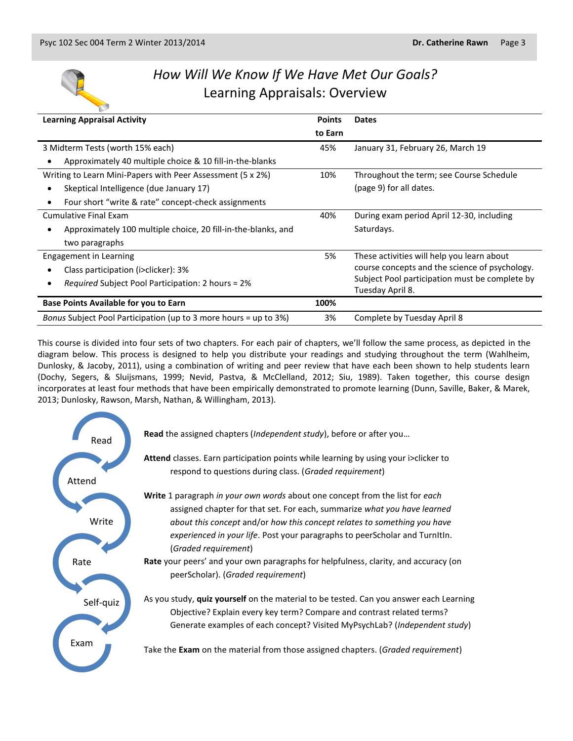

## *How Will We Know If We Have Met Our Goals?* Learning Appraisals: Overview

| <b>Learning Appraisal Activity</b>                               | <b>Points</b> | <b>Dates</b>                                   |
|------------------------------------------------------------------|---------------|------------------------------------------------|
|                                                                  | to Earn       |                                                |
| 3 Midterm Tests (worth 15% each)                                 | 45%           | January 31, February 26, March 19              |
| Approximately 40 multiple choice & 10 fill-in-the-blanks         |               |                                                |
| Writing to Learn Mini-Papers with Peer Assessment (5 x 2%)       | 10%           | Throughout the term; see Course Schedule       |
| Skeptical Intelligence (due January 17)                          |               | (page 9) for all dates.                        |
| Four short "write & rate" concept-check assignments<br>٠         |               |                                                |
| Cumulative Final Exam                                            | 40%           | During exam period April 12-30, including      |
| Approximately 100 multiple choice, 20 fill-in-the-blanks, and    |               | Saturdays.                                     |
| two paragraphs                                                   |               |                                                |
| <b>Engagement in Learning</b>                                    | 5%            | These activities will help you learn about     |
| Class participation (i>clicker): 3%                              |               | course concepts and the science of psychology. |
| <i>Required</i> Subject Pool Participation: 2 hours = 2%<br>6    |               | Subject Pool participation must be complete by |
|                                                                  |               | Tuesday April 8.                               |
| <b>Base Points Available for you to Earn</b>                     | 100%          |                                                |
| Bonus Subject Pool Participation (up to 3 more hours = up to 3%) | 3%            | Complete by Tuesday April 8                    |

This course is divided into four sets of two chapters. For each pair of chapters, we'll follow the same process, as depicted in the diagram below. This process is designed to help you distribute your readings and studying throughout the term (Wahlheim, Dunlosky, & Jacoby, 2011), using a combination of writing and peer review that have each been shown to help students learn (Dochy, Segers, & Sluijsmans, 1999; Nevid, Pastva, & McClelland, 2012; Siu, 1989). Taken together, this course design incorporates at least four methods that have been empirically demonstrated to promote learning (Dunn, Saville, Baker, & Marek, 2013; Dunlosky, Rawson, Marsh, Nathan, & Willingham, 2013).

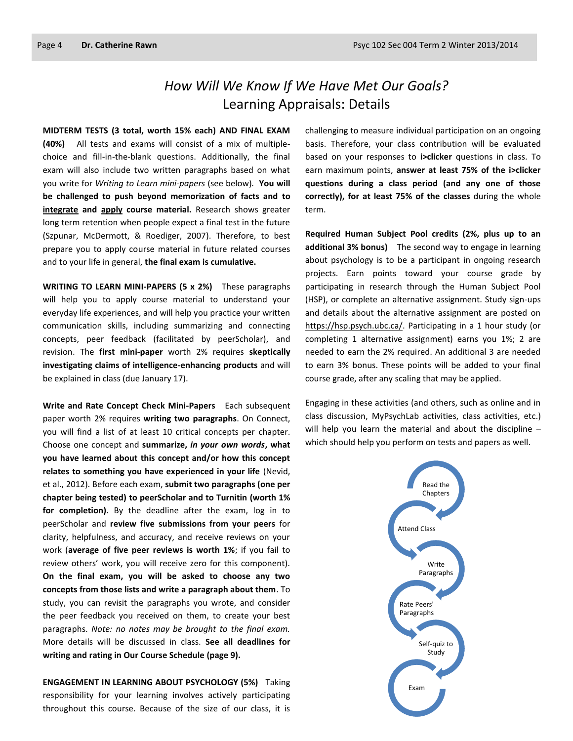## *How Will We Know If We Have Met Our Goals?* Learning Appraisals: Details

**MIDTERM TESTS (3 total, worth 15% each) AND FINAL EXAM (40%)** All tests and exams will consist of a mix of multiplechoice and fill-in-the-blank questions. Additionally, the final exam will also include two written paragraphs based on what you write for *Writing to Learn mini-papers* (see below)*.* **You will be challenged to push beyond memorization of facts and to integrate and apply course material.** Research shows greater long term retention when people expect a final test in the future (Szpunar, McDermott, & Roediger, 2007). Therefore, to best prepare you to apply course material in future related courses and to your life in general, **the final exam is cumulative.**

**WRITING TO LEARN MINI-PAPERS (5 x 2%)** These paragraphs will help you to apply course material to understand your everyday life experiences, and will help you practice your written communication skills, including summarizing and connecting concepts, peer feedback (facilitated by peerScholar), and revision. The **first mini-paper** worth 2% requires **skeptically investigating claims of intelligence-enhancing products** and will be explained in class (due January 17).

**Write and Rate Concept Check Mini-Papers** Each subsequent paper worth 2% requires **writing two paragraphs**. On Connect, you will find a list of at least 10 critical concepts per chapter. Choose one concept and **summarize,** *in your own words***, what you have learned about this concept and/or how this concept relates to something you have experienced in your life** (Nevid, et al., 2012). Before each exam, **submit two paragraphs (one per chapter being tested) to peerScholar and to Turnitin (worth 1% for completion)**. By the deadline after the exam, log in to peerScholar and **review five submissions from your peers** for clarity, helpfulness, and accuracy, and receive reviews on your work (**average of five peer reviews is worth 1%**; if you fail to review others' work, you will receive zero for this component). **On the final exam, you will be asked to choose any two concepts from those lists and write a paragraph about them**. To study, you can revisit the paragraphs you wrote, and consider the peer feedback you received on them, to create your best paragraphs. *Note: no notes may be brought to the final exam.* More details will be discussed in class. **See all deadlines for writing and rating in Our Course Schedule (page 9).**

**ENGAGEMENT IN LEARNING ABOUT PSYCHOLOGY (5%)** Taking responsibility for your learning involves actively participating throughout this course. Because of the size of our class, it is

challenging to measure individual participation on an ongoing basis. Therefore, your class contribution will be evaluated based on your responses to **i>clicker** questions in class. To earn maximum points, **answer at least 75% of the i>clicker questions during a class period (and any one of those correctly), for at least 75% of the classes** during the whole term.

**Required Human Subject Pool credits (2%, plus up to an additional 3% bonus)** The second way to engage in learning about psychology is to be a participant in ongoing research projects. Earn points toward your course grade by participating in research through the Human Subject Pool (HSP), or complete an alternative assignment. Study sign-ups and details about the alternative assignment are posted on [https://hsp.psych.ubc.ca/.](https://hsp.psych.ubc.ca/) Participating in a 1 hour study (or completing 1 alternative assignment) earns you 1%; 2 are needed to earn the 2% required. An additional 3 are needed to earn 3% bonus. These points will be added to your final course grade, after any scaling that may be applied.

Engaging in these activities (and others, such as online and in class discussion, MyPsychLab activities, class activities, etc.) will help you learn the material and about the discipline which should help you perform on tests and papers as well.

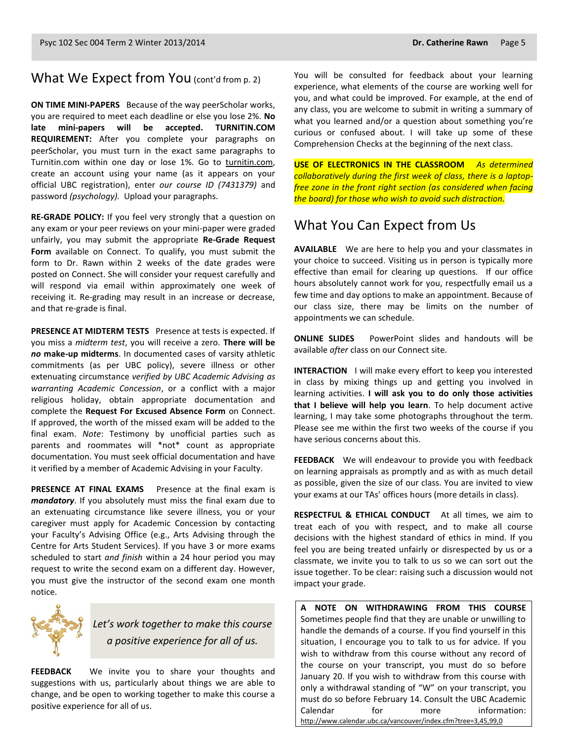### What We Expect from You (cont'd from p. 2)

**ON TIME MINI-PAPERS** Because of the way peerScholar works, you are required to meet each deadline or else you lose 2%. **No late mini-papers will be accepted. TURNITIN.COM REQUIREMENT:** After you complete your paragraphs on peerScholar, you must turn in the exact same paragraphs to Turnitin.com within one day or lose 1%. Go to [turnitin.com,](http://www.turnitin.com/) create an account using your name (as it appears on your official UBC registration), enter *our course ID (7431379)* and password *(psychology).* Upload your paragraphs.

**RE-GRADE POLICY:** If you feel very strongly that a question on any exam or your peer reviews on your mini-paper were graded unfairly, you may submit the appropriate **Re-Grade Request Form** available on Connect. To qualify, you must submit the form to Dr. Rawn within 2 weeks of the date grades were posted on Connect. She will consider your request carefully and will respond via email within approximately one week of receiving it. Re-grading may result in an increase or decrease, and that re-grade is final.

**PRESENCE AT MIDTERM TESTS** Presence at tests is expected. If you miss a *midterm test*, you will receive a zero. **There will be**  *no* **make-up midterms**. In documented cases of varsity athletic commitments (as per UBC policy), severe illness or other extenuating circumstance *verified by UBC Academic Advising as warranting Academic Concession*, or a conflict with a major religious holiday, obtain appropriate documentation and complete the **Request For Excused Absence Form** on Connect. If approved, the worth of the missed exam will be added to the final exam. *Note*: Testimony by unofficial parties such as parents and roommates will \*not\* count as appropriate documentation. You must seek official documentation and have it verified by a member of Academic Advising in your Faculty.

**PRESENCE AT FINAL EXAMS** Presence at the final exam is *mandatory*. If you absolutely must miss the final exam due to an extenuating circumstance like severe illness, you or your caregiver must apply for Academic Concession by contacting your Faculty's Advising Office (e.g., Arts Advising through the Centre for Arts Student Services). If you have 3 or more exams scheduled to start *and finish* within a 24 hour period you may request to write the second exam on a different day. However, you must give the instructor of the second exam one month notice.



*Let's work together to make this course a positive experience for all of us.*

**FEEDBACK** We invite you to share your thoughts and suggestions with us, particularly about things we are able to change, and be open to working together to make this course a positive experience for all of us.

You will be consulted for feedback about your learning experience, what elements of the course are working well for you, and what could be improved. For example, at the end of any class, you are welcome to submit in writing a summary of what you learned and/or a question about something you're curious or confused about. I will take up some of these Comprehension Checks at the beginning of the next class.

**USE OF ELECTRONICS IN THE CLASSROOM** *As determined collaboratively during the first week of class, there is a laptopfree zone in the front right section (as considered when facing the board) for those who wish to avoid such distraction.*

## What You Can Expect from Us

**AVAILABLE** We are here to help you and your classmates in your choice to succeed. Visiting us in person is typically more effective than email for clearing up questions. If our office hours absolutely cannot work for you, respectfully email us a few time and day options to make an appointment. Because of our class size, there may be limits on the number of appointments we can schedule.

**ONLINE SLIDES** PowerPoint slides and handouts will be available *after* class on our Connect site.

**INTERACTION** I will make every effort to keep you interested in class by mixing things up and getting you involved in learning activities. **I will ask you to do only those activities that I believe will help you learn**. To help document active learning, I may take some photographs throughout the term. Please see me within the first two weeks of the course if you have serious concerns about this.

**FEEDBACK** We will endeavour to provide you with feedback on learning appraisals as promptly and as with as much detail as possible, given the size of our class. You are invited to view your exams at our TAs' offices hours (more details in class).

**RESPECTFUL & ETHICAL CONDUCT** At all times, we aim to treat each of you with respect, and to make all course decisions with the highest standard of ethics in mind. If you feel you are being treated unfairly or disrespected by us or a classmate, we invite you to talk to us so we can sort out the issue together. To be clear: raising such a discussion would not impact your grade.

**A NOTE ON WITHDRAWING FROM THIS COURSE**  Sometimes people find that they are unable or unwilling to handle the demands of a course. If you find yourself in this situation, I encourage you to talk to us for advice. If you wish to withdraw from this course without any record of the course on your transcript, you must do so before January 20. If you wish to withdraw from this course with only a withdrawal standing of "W" on your transcript, you must do so before February 14. Consult the UBC Academic Calendar for more information: <http://www.calendar.ubc.ca/vancouver/index.cfm?tree=3,45,99,0>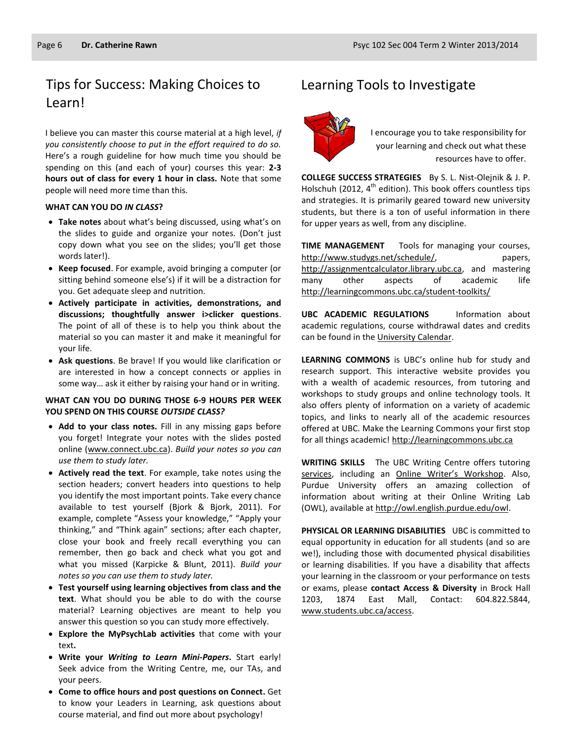## Tips for Success: Making Choices to Learning Tools to Investigate Learn!

I believe you can master this course material at a high level, *if you consistently choose to put in the effort required to do so.* Here's a rough guideline for how much time you should be spending on this (and each of your) courses this year: **2-3 hours out of class for every 1 hour in class.** Note that some people will need more time than this.

#### **WHAT CAN YOU DO** *IN CLASS***?**

- **Take notes** about what's being discussed, using what's on the slides to guide and organize your notes. (Don't just copy down what you see on the slides; you'll get those words later!).
- **Keep focused**. For example, avoid bringing a computer (or sitting behind someone else's) if it will be a distraction for you. Get adequate sleep and nutrition.
- **Actively participate in activities, demonstrations, and discussions; thoughtfully answer i>clicker questions**. The point of all of these is to help you think about the material so you can master it and make it meaningful for your life.
- **Ask questions**. Be brave! If you would like clarification or are interested in how a concept connects or applies in some way… ask it either by raising your hand or in writing.

#### **WHAT CAN YOU DO DURING THOSE 6-9 HOURS PER WEEK YOU SPEND ON THIS COURSE** *OUTSIDE CLASS?*

- **Add to your class notes.** Fill in any missing gaps before you forget! Integrate your notes with the slides posted online [\(www.connect.ubc.ca\)](http://www.connect.ubc.ca/). *Build your notes so you can use them to study later.*
- **Actively read the text**. For example, take notes using the section headers; convert headers into questions to help you identify the most important points. Take every chance available to test yourself (Bjork & Bjork, 2011). For example, complete "Assess your knowledge," "Apply your thinking," and "Think again" sections; after each chapter, close your book and freely recall everything you can remember, then go back and check what you got and what you missed (Karpicke & Blunt, 2011). *Build your notes so you can use them to study later.*
- **Test yourself using learning objectives from class and the text**. What should you be able to do with the course material? Learning objectives are meant to help you answer this question so you can study more effectively.
- **Explore the MyPsychLab activities** that come with your text**.**
- **Write your** *Writing to Learn Mini-Papers***.** Start early! Seek advice from the Writing Centre, me, our TAs, and your peers.
- **Come to office hours and post questions on Connect.** Get to know your Leaders in Learning, ask questions about course material, and find out more about psychology!



I encourage you to take responsibility for your learning and check out what these resources have to offer.

**COLLEGE SUCCESS STRATEGIES** By S. L. Nist-Olejnik & J. P. Holschuh (2012,  $4^{th}$  edition). This book offers countless tips and strategies. It is primarily geared toward new university students, but there is a ton of useful information in there for upper years as well, from any discipline.

**TIME MANAGEMENT** Tools for managing your courses, [http://www.studygs.net/schedule/,](http://www.studygs.net/schedule/) papers, [http://assignmentcalculator.library.ubc.ca,](http://assignmentcalculator.library.ubc.ca/) and mastering many other aspects of academic life <http://learningcommons.ubc.ca/student-toolkits/>

**UBC ACADEMIC REGULATIONS** Information about academic regulations, course withdrawal dates and credits can be found in th[e University Calendar.](http://students.ubc.ca/calendar/academicyear.cfm)

**LEARNING COMMONS** is UBC's online hub for study and research support. This interactive website provides you with a wealth of academic resources, from tutoring and workshops to study groups and online technology tools. It also offers plenty of information on a variety of academic topics, and links to nearly all of the academic resources offered at UBC. Make the Learning Commons your first stop for all things academic! [http://learningcommons.ubc.ca](http://learningcommons.ubc.ca/)

**WRITING SKILLS** The UBC Writing Centre offers tutoring [services,](http://cstudies.ubc.ca/writing/resources.html) including an [Online Writer's Workshop](http://www.writingcentre.ubc.ca/workshop/index.html). Also, Purdue University offers an amazing collection of information about writing at their Online Writing Lab (OWL), available a[t http://owl.english.purdue.edu/owl.](http://owl.english.purdue.edu/owl/)

**PHYSICAL OR LEARNING DISABILITIES** UBC is committed to equal opportunity in education for all students (and so are we!), including those with documented physical disabilities or learning disabilities. If you have a disability that affects your learning in the classroom or your performance on tests or exams, please **contact Access & Diversity** in Brock Hall 1203, 1874 East Mall, Contact: 604.822.5844, [www.students.ubc.ca/access.](http://www.students.ubc.ca/access)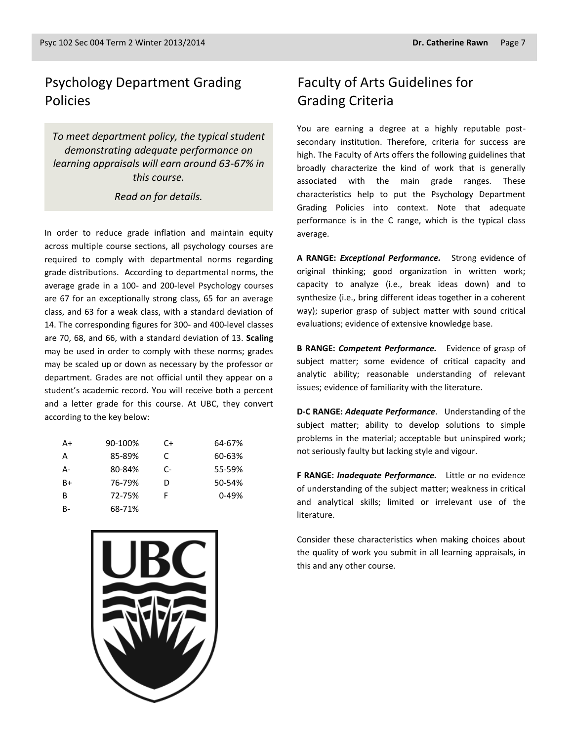## Psychology Department Grading Policies

*To meet department policy, the typical student demonstrating adequate performance on learning appraisals will earn around 63-67% in this course.* 

#### *Read on for details.*

In order to reduce grade inflation and maintain equity across multiple course sections, all psychology courses are required to comply with departmental norms regarding grade distributions. According to departmental norms, the average grade in a 100- and 200-level Psychology courses are 67 for an exceptionally strong class, 65 for an average class, and 63 for a weak class, with a standard deviation of 14. The corresponding figures for 300- and 400-level classes are 70, 68, and 66, with a standard deviation of 13. **Scaling** may be used in order to comply with these norms; grades may be scaled up or down as necessary by the professor or department. Grades are not official until they appear on a student's academic record. You will receive both a percent and a letter grade for this course. At UBC, they convert according to the key below:

| A+           | 90-100% | C+ | 64-67%    |
|--------------|---------|----|-----------|
| A            | 85-89%  | C  | 60-63%    |
| А-           | 80-84%  | C- | 55-59%    |
| $B+$         | 76-79%  | D  | 50-54%    |
| <sup>B</sup> | 72-75%  | F  | $0 - 49%$ |
| B-           | 68-71%  |    |           |



## Faculty of Arts Guidelines for Grading Criteria

You are earning a degree at a highly reputable postsecondary institution. Therefore, criteria for success are high. The Faculty of Arts offers the following guidelines that broadly characterize the kind of work that is generally associated with the main grade ranges. These characteristics help to put the Psychology Department Grading Policies into context. Note that adequate performance is in the C range, which is the typical class average.

**A RANGE:** *Exceptional Performance.* Strong evidence of original thinking; good organization in written work; capacity to analyze (i.e., break ideas down) and to synthesize (i.e., bring different ideas together in a coherent way); superior grasp of subject matter with sound critical evaluations; evidence of extensive knowledge base.

**B RANGE:** *Competent Performance.* Evidence of grasp of subject matter; some evidence of critical capacity and analytic ability; reasonable understanding of relevant issues; evidence of familiarity with the literature.

**D-C RANGE:** *Adequate Performance*. Understanding of the subject matter; ability to develop solutions to simple problems in the material; acceptable but uninspired work; not seriously faulty but lacking style and vigour.

**F RANGE:** *Inadequate Performance.* Little or no evidence of understanding of the subject matter; weakness in critical and analytical skills; limited or irrelevant use of the literature.

Consider these characteristics when making choices about the quality of work you submit in all learning appraisals, in this and any other course.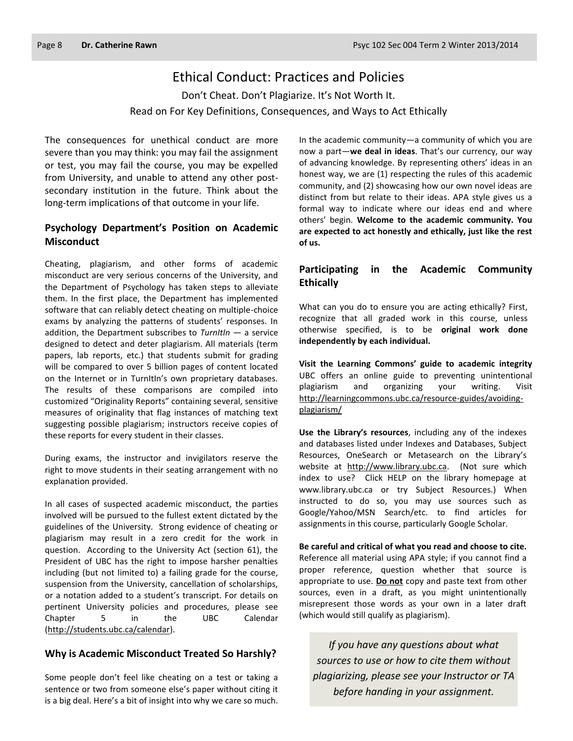## Ethical Conduct: Practices and Policies

Don't Cheat. Don't Plagiarize. It's Not Worth It. Read on For Key Definitions, Consequences, and Ways to Act Ethically

The consequences for unethical conduct are more severe than you may think: you may fail the assignment or test, you may fail the course, you may be expelled from University, and unable to attend any other postsecondary institution in the future. Think about the long-term implications of that outcome in your life.

#### **Psychology Department's Position on Academic Misconduct**

Cheating, plagiarism, and other forms of academic misconduct are very serious concerns of the University, and the Department of Psychology has taken steps to alleviate them. In the first place, the Department has implemented software that can reliably detect cheating on multiple-choice exams by analyzing the patterns of students' responses. In addition, the Department subscribes to *TurnItIn* — a service designed to detect and deter plagiarism. All materials (term papers, lab reports, etc.) that students submit for grading will be compared to over 5 billion pages of content located on the Internet or in TurnItIn's own proprietary databases. The results of these comparisons are compiled into customized "Originality Reports" containing several, sensitive measures of originality that flag instances of matching text suggesting possible plagiarism; instructors receive copies of these reports for every student in their classes.

During exams, the instructor and invigilators reserve the right to move students in their seating arrangement with no explanation provided.

In all cases of suspected academic misconduct, the parties involved will be pursued to the fullest extent dictated by the guidelines of the University. Strong evidence of cheating or plagiarism may result in a zero credit for the work in question. According to the University Act (section 61), the President of UBC has the right to impose harsher penalties including (but not limited to) a failing grade for the course, suspension from the University, cancellation of scholarships, or a notation added to a student's transcript. For details on pertinent University policies and procedures, please see Chapter 5 in the UBC Calendar [\(http://students.ubc.ca/calendar\)](http://students.ubc.ca/calendar).

#### **Why is Academic Misconduct Treated So Harshly?**

Some people don't feel like cheating on a test or taking a sentence or two from someone else's paper without citing it is a big deal. Here's a bit of insight into why we care so much.

In the academic community—a community of which you are now a part—**we deal in ideas**. That's our currency, our way of advancing knowledge. By representing others' ideas in an honest way, we are (1) respecting the rules of this academic community, and (2) showcasing how our own novel ideas are distinct from but relate to their ideas. APA style gives us a formal way to indicate where our ideas end and where others' begin. **Welcome to the academic community. You are expected to act honestly and ethically, just like the rest of us.**

#### **Participating in the Academic Community Ethically**

What can you do to ensure you are acting ethically? First, recognize that all graded work in this course, unless otherwise specified, is to be **original work done independently by each individual.**

**Visit the Learning Commons' guide to academic integrity**  UBC offers an online guide to preventing unintentional plagiarism and organizing your writing. Visit [http://learningcommons.ubc.ca/resource-guides/avoiding](http://learningcommons.ubc.ca/resource-guides/avoiding-plagiarism/)[plagiarism/](http://learningcommons.ubc.ca/resource-guides/avoiding-plagiarism/)

**Use the Library's resources**, including any of the indexes and databases listed under Indexes and Databases, Subject Resources, OneSearch or Metasearch on the Library's website at [http://www.library.ubc.ca.](http://www.library.ubc.ca/) (Not sure which index to use? Click HELP on the library homepage at www.library.ubc.ca or try Subject Resources.) When instructed to do so, you may use sources such as Google/Yahoo/MSN Search/etc. to find articles for assignments in this course, particularly Google Scholar.

**Be careful and critical of what you read and choose to cite.** Reference all material using APA style; if you cannot find a proper reference, question whether that source is appropriate to use. **Do not** copy and paste text from other sources, even in a draft, as you might unintentionally misrepresent those words as your own in a later draft (which would still qualify as plagiarism).

*If you have any questions about what sources to use or how to cite them without plagiarizing, please see your Instructor or TA before handing in your assignment.*